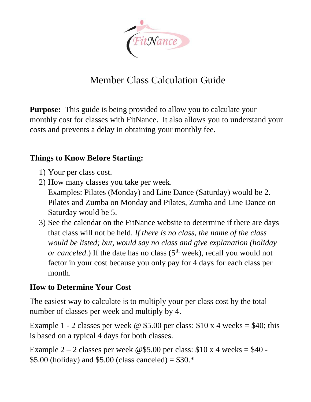

# Member Class Calculation Guide

**Purpose:** This guide is being provided to allow you to calculate your monthly cost for classes with FitNance. It also allows you to understand your costs and prevents a delay in obtaining your monthly fee.

#### **Things to Know Before Starting:**

- 1) Your per class cost.
- 2) How many classes you take per week. Examples: Pilates (Monday) and Line Dance (Saturday) would be 2. Pilates and Zumba on Monday and Pilates, Zumba and Line Dance on Saturday would be 5.
- 3) See the calendar on the FitNance website to determine if there are days that class will not be held. *If there is no class, the name of the class would be listed; but, would say no class and give explanation (holiday or canceled*.) If the date has no class  $(5<sup>th</sup> week)$ , recall you would not factor in your cost because you only pay for 4 days for each class per month.

## **How to Determine Your Cost**

The easiest way to calculate is to multiply your per class cost by the total number of classes per week and multiply by 4.

Example 1 - 2 classes per week @ \$5.00 per class:  $$10 \times 4$  weeks = \$40; this is based on a typical 4 days for both classes.

Example  $2 - 2$  classes per week @\$5.00 per class: \$10 x 4 weeks = \$40 -\$5.00 (holiday) and \$5.00 (class canceled) =  $$30.*$